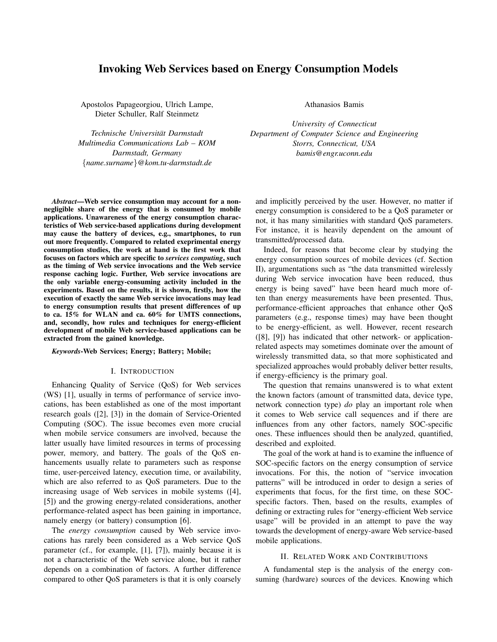# Invoking Web Services based on Energy Consumption Models

Apostolos Papageorgiou, Ulrich Lampe, Dieter Schuller, Ralf Steinmetz

*Technische Universitat Darmstadt ¨ Multimedia Communications Lab – KOM Darmstadt, Germany* {*name.surname*}*@kom.tu-darmstadt.de*

*Abstract*—Web service consumption may account for a nonnegligible share of the energy that is consumed by mobile applications. Unawareness of the energy consumption characteristics of Web service-based applications during development may cause the battery of devices, e.g., smartphones, to run out more frequently. Compared to related exeprimental energy consumption studies, the work at hand is the first work that focuses on factors which are specific to *services computing*, such as the timing of Web service invocations and the Web service response caching logic. Further, Web service invocations are the only variable energy-consuming activity included in the experiments. Based on the results, it is shown, firstly, how the execution of exactly the same Web service invocations may lead to energy consumption results that present differences of up to ca. 15% for WLAN and ca. 60% for UMTS connections, and, secondly, how rules and techniques for energy-efficient development of mobile Web service-based applications can be extracted from the gained knowledge.

## *Keywords*-Web Services; Energy; Battery; Mobile;

#### I. INTRODUCTION

Enhancing Quality of Service (QoS) for Web services (WS) [1], usually in terms of performance of service invocations, has been established as one of the most important research goals ([2], [3]) in the domain of Service-Oriented Computing (SOC). The issue becomes even more crucial when mobile service consumers are involved, because the latter usually have limited resources in terms of processing power, memory, and battery. The goals of the QoS enhancements usually relate to parameters such as response time, user-perceived latency, execution time, or availability, which are also referred to as QoS parameters. Due to the increasing usage of Web services in mobile systems ([4], [5]) and the growing energy-related considerations, another performance-related aspect has been gaining in importance, namely energy (or battery) consumption [6].

The *energy consumption* caused by Web service invocations has rarely been considered as a Web service QoS parameter (cf., for example, [1], [7]), mainly because it is not a characteristic of the Web service alone, but it rather depends on a combination of factors. A further difference compared to other QoS parameters is that it is only coarsely Athanasios Bamis

*University of Connecticut Department of Computer Science and Engineering Storrs, Connecticut, USA bamis@engr.uconn.edu*

and implicitly perceived by the user. However, no matter if energy consumption is considered to be a QoS parameter or not, it has many similarities with standard QoS parameters. For instance, it is heavily dependent on the amount of transmitted/processed data.

Indeed, for reasons that become clear by studying the energy consumption sources of mobile devices (cf. Section II), argumentations such as "the data transmitted wirelessly during Web service invocation have been reduced, thus energy is being saved" have been heard much more often than energy measurements have been presented. Thus, performance-efficient approaches that enhance other QoS parameters (e.g., response times) may have been thought to be energy-efficient, as well. However, recent research ([8], [9]) has indicated that other network- or applicationrelated aspects may sometimes dominate over the amount of wirelessly transmitted data, so that more sophisticated and specialized approaches would probably deliver better results, if energy-efficiency is the primary goal.

The question that remains unanswered is to what extent the known factors (amount of transmitted data, device type, network connection type) *do* play an important role when it comes to Web service call sequences and if there are influences from any other factors, namely SOC-specific ones. These influences should then be analyzed, quantified, described and exploited.

The goal of the work at hand is to examine the influence of SOC-specific factors on the energy consumption of service invocations. For this, the notion of "service invocation patterns" will be introduced in order to design a series of experiments that focus, for the first time, on these SOCspecific factors. Then, based on the results, examples of defining or extracting rules for "energy-efficient Web service usage" will be provided in an attempt to pave the way towards the development of energy-aware Web service-based mobile applications.

### II. RELATED WORK AND CONTRIBUTIONS

A fundamental step is the analysis of the energy consuming (hardware) sources of the devices. Knowing which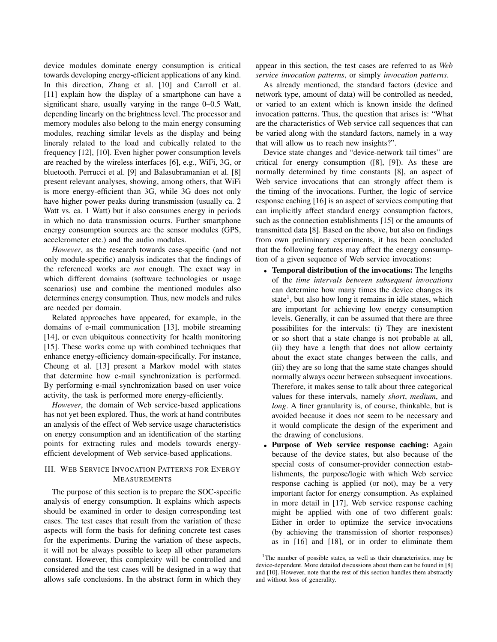device modules dominate energy consumption is critical towards developing energy-efficient applications of any kind. In this direction, Zhang et al. [10] and Carroll et al. [11] explain how the display of a smartphone can have a significant share, usually varying in the range 0–0.5 Watt, depending linearly on the brightness level. The processor and memory modules also belong to the main energy consuming modules, reaching similar levels as the display and being lineraly related to the load and cubically related to the frequency [12], [10]. Even higher power consumption levels are reached by the wireless interfaces [6], e.g., WiFi, 3G, or bluetooth. Perrucci et al. [9] and Balasubramanian et al. [8] present relevant analyses, showing, among others, that WiFi is more energy-efficient than 3G, while 3G does not only have higher power peaks during transmission (usually ca. 2 Watt vs. ca. 1 Watt) but it also consumes energy in periods in which no data transmission ocurrs. Further smartphone energy consumption sources are the sensor modules (GPS, accelerometer etc.) and the audio modules.

*However*, as the research towards case-specific (and not only module-specific) analysis indicates that the findings of the referenced works are *not* enough. The exact way in which different domains (software technologies or usage scenarios) use and combine the mentioned modules also determines energy consumption. Thus, new models and rules are needed per domain.

Related approaches have appeared, for example, in the domains of e-mail communication [13], mobile streaming [14], or even ubiquitous connectivity for health monitoring [15]. These works come up with combined techniques that enhance energy-efficiency domain-specifically. For instance, Cheung et al. [13] present a Markov model with states that determine how e-mail synchronization is performed. By performing e-mail synchronization based on user voice activity, the task is performed more energy-efficiently.

*However*, the domain of Web service-based applications has not yet been explored. Thus, the work at hand contributes an analysis of the effect of Web service usage characteristics on energy consumption and an identification of the starting points for extracting rules and models towards energyefficient development of Web service-based applications.

# III. WEB SERVICE INVOCATION PATTERNS FOR ENERGY MEASUREMENTS

The purpose of this section is to prepare the SOC-specific analysis of energy consumption. It explains which aspects should be examined in order to design corresponding test cases. The test cases that result from the variation of these aspects will form the basis for defining concrete test cases for the experiments. During the variation of these aspects, it will not be always possible to keep all other parameters constant. However, this complexity will be controlled and considered and the test cases will be designed in a way that allows safe conclusions. In the abstract form in which they appear in this section, the test cases are referred to as *Web service invocation patterns*, or simply *invocation patterns*.

As already mentioned, the standard factors (device and network type, amount of data) will be controlled as needed, or varied to an extent which is known inside the defined invocation patterns. Thus, the question that arises is: "What are the characteristics of Web service call sequences that can be varied along with the standard factors, namely in a way that will allow us to reach new insights?".

Device state changes and "device-network tail times" are critical for energy consumption ([8], [9]). As these are normally determined by time constants [8], an aspect of Web service invocations that can strongly affect them is the timing of the invocations. Further, the logic of service response caching [16] is an aspect of services computing that can implicitly affect standard energy consumption factors, such as the connection establishments [15] or the amounts of transmitted data [8]. Based on the above, but also on findings from own preliminary experiments, it has been concluded that the following features may affect the energy consumption of a given sequence of Web service invocations:

- Temporal distribution of the invocations: The lengths of the *time intervals between subsequent invocations* can determine how many times the device changes its state<sup>1</sup>, but also how long it remains in idle states, which are important for achieving low energy consumption levels. Generally, it can be assumed that there are three possibilites for the intervals: (i) They are inexistent or so short that a state change is not probable at all, (ii) they have a length that does not allow certainty about the exact state changes between the calls, and (iii) they are so long that the same state changes should normally always occur between subsequent invocations. Therefore, it makes sense to talk about three categorical values for these intervals, namely *short*, *medium*, and *long*. A finer granularity is, of course, thinkable, but is avoided because it does not seem to be necessary and it would complicate the design of the experiment and the drawing of conclusions.
- Purpose of Web service response caching: Again because of the device states, but also because of the special costs of consumer-provider connection establishments, the purpose/logic with which Web service response caching is applied (or not), may be a very important factor for energy consumption. As explained in more detail in [17], Web service response caching might be applied with one of two different goals: Either in order to optimize the service invocations (by achieving the transmission of shorter responses) as in [16] and [18], or in order to eliminate them

<sup>&</sup>lt;sup>1</sup>The number of possible states, as well as their characteristics, may be device-dependent. More detailed discussions about them can be found in [8] and [10]. However, note that the rest of this section handles them abstractly and without loss of generality.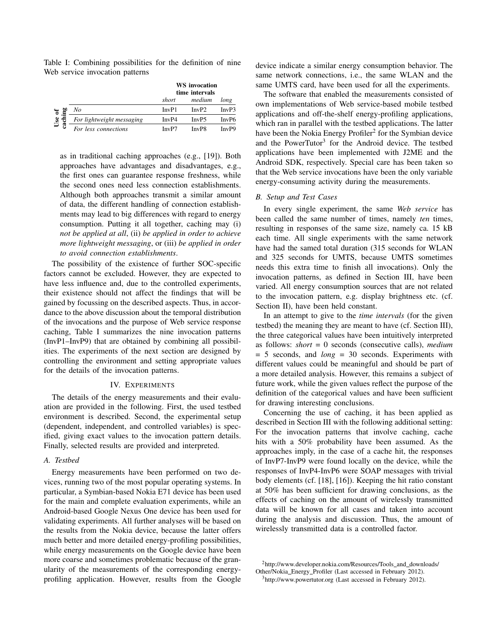Table I: Combining possibilities for the definition of nine Web service invocation patterns

|                  |                           | <b>WS</b> invocation<br>time intervals |                   |       |
|------------------|---------------------------|----------------------------------------|-------------------|-------|
|                  |                           | short                                  | medium            | long  |
| đ<br>Use<br>achi | No                        | InvP1                                  | InvP2             | InvP3 |
|                  | For lightweight messaging | InvP4                                  | InvP5             | InvP6 |
| ි                | For less connections      | InvP7                                  | InvP <sub>8</sub> | InvP9 |

as in traditional caching approaches (e.g., [19]). Both approaches have advantages and disadvantages, e.g., the first ones can guarantee response freshness, while the second ones need less connection establishments. Although both approaches transmit a similar amount of data, the different handling of connection establishments may lead to big differences with regard to energy consumption. Putting it all together, caching may (i) *not be applied at all*, (ii) *be applied in order to achieve more lightweight messaging*, or (iii) *be applied in order to avoid connection establishments*.

The possibility of the existence of further SOC-specific factors cannot be excluded. However, they are expected to have less influence and, due to the controlled experiments, their existence should not affect the findings that will be gained by focussing on the described aspects. Thus, in accordance to the above discussion about the temporal distribution of the invocations and the purpose of Web service response caching, Table I summarizes the nine invocation patterns (InvP1–InvP9) that are obtained by combining all possibilities. The experiments of the next section are designed by controlling the environment and setting appropriate values for the details of the invocation patterns.

### IV. EXPERIMENTS

The details of the energy measurements and their evaluation are provided in the following. First, the used testbed environment is described. Second, the experimental setup (dependent, independent, and controlled variables) is specified, giving exact values to the invocation pattern details. Finally, selected results are provided and interpreted.

## *A. Testbed*

Energy measurements have been performed on two devices, running two of the most popular operating systems. In particular, a Symbian-based Nokia E71 device has been used for the main and complete evaluation experiments, while an Android-based Google Nexus One device has been used for validating experiments. All further analyses will be based on the results from the Nokia device, because the latter offers much better and more detailed energy-profiling possibilities, while energy measurements on the Google device have been more coarse and sometimes problematic because of the granularity of the measurements of the corresponding energyprofiling application. However, results from the Google device indicate a similar energy consumption behavior. The same network connections, i.e., the same WLAN and the same UMTS card, have been used for all the experiments.

The software that enabled the measurements consisted of own implementations of Web service-based mobile testbed applications and off-the-shelf energy-profiling applications, which ran in parallel with the testbed applications. The latter have been the Nokia Energy Profiler<sup>2</sup> for the Symbian device and the PowerTutor<sup>3</sup> for the Android device. The testbed applications have been implemented with J2ME and the Android SDK, respectively. Special care has been taken so that the Web service invocations have been the only variable energy-consuming activity during the measurements.

### *B. Setup and Test Cases*

In every single experiment, the same *Web service* has been called the same number of times, namely *ten* times, resulting in responses of the same size, namely ca. 15 kB each time. All single experiments with the same network have had the samed total duration (315 seconds for WLAN and 325 seconds for UMTS, because UMTS sometimes needs this extra time to finish all invocations). Only the invocation patterns, as defined in Section III, have been varied. All energy consumption sources that are not related to the invocation pattern, e.g. display brightness etc. (cf. Section II), have been held constant.

In an attempt to give to the *time intervals* (for the given testbed) the meaning they are meant to have (cf. Section III), the three categorical values have been intuitively interpreted as follows: *short* = 0 seconds (consecutive calls), *medium* = 5 seconds, and *long* = 30 seconds. Experiments with different values could be meaningful and should be part of a more detailed analysis. However, this remains a subject of future work, while the given values reflect the purpose of the definition of the categorical values and have been sufficient for drawing interesting conclusions.

Concerning the use of caching, it has been applied as described in Section III with the following additional setting: For the invocation patterns that involve caching, cache hits with a 50% probability have been assumed. As the approaches imply, in the case of a cache hit, the responses of InvP7-InvP9 were found locally on the device, while the responses of InvP4-InvP6 were SOAP messages with trivial body elements (cf. [18], [16]). Keeping the hit ratio constant at 50% has been sufficient for drawing conclusions, as the effects of caching on the amount of wirelessly transmitted data will be known for all cases and taken into account during the analysis and discussion. Thus, the amount of wirelessly transmitted data is a controlled factor.

<sup>2</sup>http://www.developer.nokia.com/Resources/Tools\_and\_downloads/ Other/Nokia Energy Profiler (Last accessed in February 2012). <sup>3</sup>http://www.powertutor.org (Last accessed in February 2012).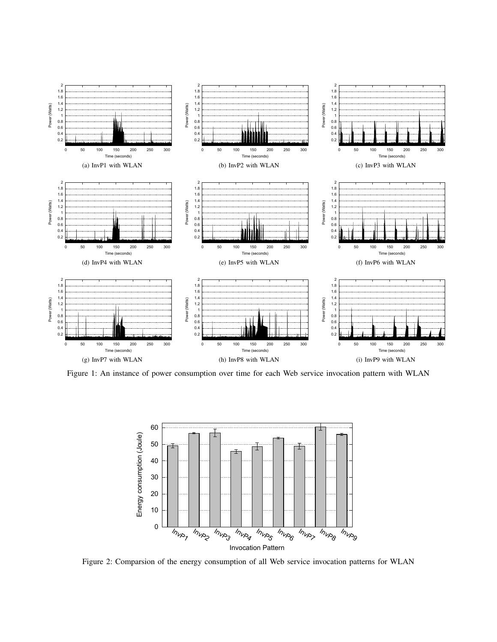

Figure 1: An instance of power consumption over time for each Web service invocation pattern with WLAN



Figure 2: Comparsion of the energy consumption of all Web service invocation patterns for WLAN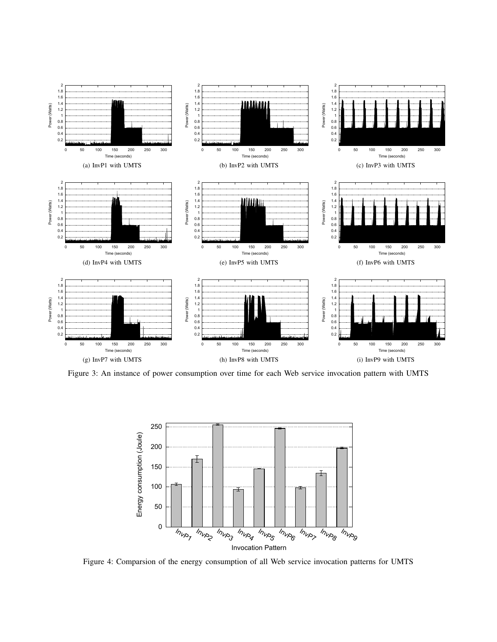

Figure 3: An instance of power consumption over time for each Web service invocation pattern with UMTS



Figure 4: Comparsion of the energy consumption of all Web service invocation patterns for UMTS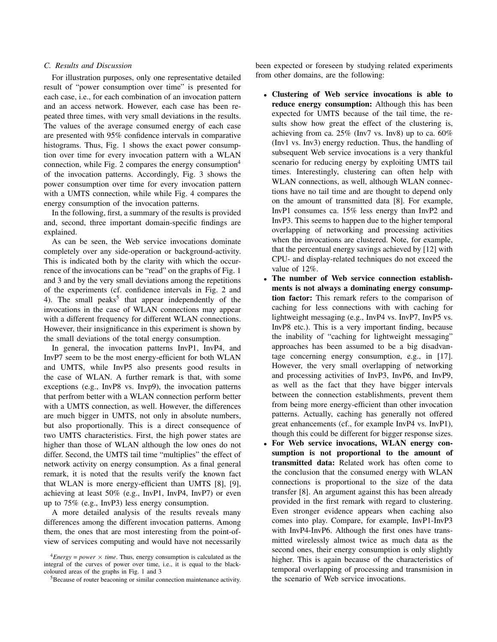## *C. Results and Discussion*

For illustration purposes, only one representative detailed result of "power consumption over time" is presented for each case, i.e., for each combination of an invocation pattern and an access network. However, each case has been repeated three times, with very small deviations in the results. The values of the average consumed energy of each case are presented with 95% confidence intervals in comparative histograms. Thus, Fig. 1 shows the exact power consumption over time for every invocation pattern with a WLAN connection, while Fig. 2 compares the energy consumption<sup>4</sup> of the invocation patterns. Accordingly, Fig. 3 shows the power consumption over time for every invocation pattern with a UMTS connection, while while Fig. 4 compares the energy consumption of the invocation patterns.

In the following, first, a summary of the results is provided and, second, three important domain-specific findings are explained.

As can be seen, the Web service invocations dominate completely over any side-operation or background-activity. This is indicated both by the clarity with which the occurrence of the invocations can be "read" on the graphs of Fig. 1 and 3 and by the very small deviations among the repetitions of the experiments (cf. confidence intervals in Fig. 2 and 4). The small peaks<sup>5</sup> that appear independently of the invocations in the case of WLAN connections may appear with a different frequency for different WLAN connections. However, their insignificance in this experiment is shown by the small deviations of the total energy consumption.

In general, the invocation patterns InvP1, InvP4, and InvP7 seem to be the most energy-efficient for both WLAN and UMTS, while InvP5 also presents good results in the case of WLAN. A further remark is that, with some exceptions (e.g., InvP8 vs. Invp9), the invocation patterns that perfrom better with a WLAN connection perform better with a UMTS connection, as well. However, the differences are much bigger in UMTS, not only in absolute numbers, but also proportionally. This is a direct consequence of two UMTS characteristics. First, the high power states are higher than those of WLAN although the low ones do not differ. Second, the UMTS tail time "multiplies" the effect of network activity on energy consumption. As a final general remark, it is noted that the results verify the known fact that WLAN is more energy-efficient than UMTS [8], [9], achieving at least 50% (e.g., InvP1, InvP4, InvP7) or even up to 75% (e.g., InvP3) less energy consumption.

A more detailed analysis of the results reveals many differences among the different invocation patterns. Among them, the ones that are most interesting from the point-ofview of services computing and would have not necessarily been expected or foreseen by studying related experiments from other domains, are the following:

- Clustering of Web service invocations is able to reduce energy consumption: Although this has been expected for UMTS because of the tail time, the results show how great the effect of the clustering is, achieving from ca. 25% (Inv7 vs. Inv8) up to ca. 60% (Inv1 vs. Inv3) energy reduction. Thus, the handling of subsequent Web service invocations is a very thankful scenario for reducing energy by exploiting UMTS tail times. Interestingly, clustering can often help with WLAN connections, as well, although WLAN connections have no tail time and are thought to depend only on the amount of transmitted data [8]. For example, InvP1 consumes ca. 15% less energy than InvP2 and InvP3. This seems to happen due to the higher temporal overlapping of networking and processing activities when the invocations are clustered. Note, for example, that the percentual energy savings achieved by [12] with CPU- and display-related techniques do not exceed the value of 12%.
- The number of Web service connection establishments is not always a dominating energy consumption factor: This remark refers to the comparison of caching for less connections with with caching for lightweight messaging (e.g., InvP4 vs. InvP7, InvP5 vs. InvP8 etc.). This is a very important finding, because the inability of "caching for lightweight messaging" approaches has been assumed to be a big disadvantage concerning energy consumption, e.g., in [17]. However, the very small overlapping of networking and processing activities of InvP3, InvP6, and InvP9, as well as the fact that they have bigger intervals between the connection establishments, prevent them from being more energy-efficient than other invocation patterns. Actually, caching has generally not offered great enhancements (cf., for example InvP4 vs. InvP1), though this could be different for bigger response sizes.
- For Web service invocations, WLAN energy consumption is not proportional to the amount of transmitted data: Related work has often come to the conclusion that the consumed energy with WLAN connections is proportional to the size of the data transfer [8]. An argument against this has been already provided in the first remark with regard to clustering. Even stronger evidence appears when caching also comes into play. Compare, for example, InvP1-InvP3 with InvP4-InvP6. Although the first ones have transmitted wirelessly almost twice as much data as the second ones, their energy consumption is only slightly higher. This is again because of the characteristics of temporal overlapping of processing and transmision in the scenario of Web service invocations.

 $^{4}Energy = power \times time$ . Thus, energy consumption is calculated as the integral of the curves of power over time, i.e., it is equal to the blackcoloured areas of the graphs in Fig. 1 and 3

<sup>5</sup>Because of router beaconing or similar connection maintenance activity.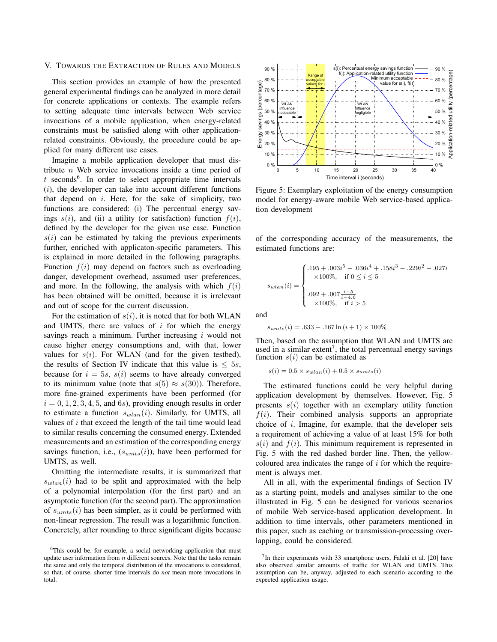#### V. TOWARDS THE EXTRACTION OF RULES AND MODELS

This section provides an example of how the presented general experimental findings can be analyzed in more detail for concrete applications or contexts. The example refers to setting adequate time intervals between Web service invocations of a mobile application, when energy-related constraints must be satisfied along with other applicationrelated constraints. Obviously, the procedure could be applied for many different use cases.

Imagine a mobile application developer that must distribute  $n$  Web service invocations inside a time period of  $t$  seconds<sup>6</sup>. In order to select appropriate time intervals  $(i)$ , the developer can take into account different functions that depend on  $i$ . Here, for the sake of simplicity, two functions are considered: (i) The percentual energy savings  $s(i)$ , and (ii) a utility (or satisfaction) function  $f(i)$ , defined by the developer for the given use case. Function  $s(i)$  can be estimated by taking the previous experiments further, enriched with applicaton-specific parameters. This is explained in more detailed in the following paragraphs. Function  $f(i)$  may depend on factors such as overloading danger, development overhead, assumed user preferences, and more. In the following, the analysis with which  $f(i)$ has been obtained will be omitted, because it is irrelevant and out of scope for the current discussion.

For the estimation of  $s(i)$ , it is noted that for both WLAN and UMTS, there are values of  $i$  for which the energy savings reach a minimum. Further increasing  $i$  would not cause higher energy consumptions and, with that, lower values for  $s(i)$ . For WLAN (and for the given testbed), the results of Section IV indicate that this value is  $\leq 5s$ , because for  $i = 5s$ ,  $s(i)$  seems to have already converged to its minimum value (note that  $s(5) \approx s(30)$ ). Therefore, more fine-grained experiments have been performed (for  $i = 0, 1, 2, 3, 4, 5,$  and 6s), providing enough results in order to estimate a function  $s_{wlan}(i)$ . Similarly, for UMTS, all values of  $i$  that exceed the length of the tail time would lead to similar results concerning the consumed energy. Extended measurements and an estimation of the corresponding energy savings function, i.e.,  $(s_{umts}(i))$ , have been performed for UMTS, as well.

Omitting the intermediate results, it is summarized that  $s_{wlan}(i)$  had to be split and approximated with the help of a polynomial interpolation (for the first part) and an asymptotic function (for the second part). The approximation of  $s_{umts}(i)$  has been simpler, as it could be performed with non-linear regression. The result was a logarithmic function. Concretely, after rounding to three significant digits because



Figure 5: Exemplary exploitation of the energy consumption model for energy-aware mobile Web service-based application development

of the corresponding accuracy of the measurements, the estimated functions are:

$$
s_{wlan}(i) = \begin{cases} .195 + .003i^{5} - .036i^{4} + .158i^{3} - .229i^{2} - .027i \\ \times 100\%, & \text{if } 0 \leq i \leq 5 \\ .092 + .007\frac{i-5}{i-4.6} \\ \times 100\%, & \text{if } i > 5 \end{cases}
$$

and

$$
s_{umts}(i) = .633 - .167 \ln(i + 1) \times 100\%
$$

Then, based on the assumption that WLAN and UMTS are used in a similar extent<sup>7</sup>, the total percentual energy savings function  $s(i)$  can be estimated as

 $s(i) = 0.5 \times s_{wlan}(i) + 0.5 \times s_{umts}(i)$ 

The estimated functions could be very helpful during application development by themselves. However, Fig. 5 presents  $s(i)$  together with an exemplary utility function  $f(i)$ . Their combined analysis supports an appropriate choice of  $i$ . Imagine, for example, that the developer sets a requirement of achieving a value of at least 15% for both  $s(i)$  and  $f(i)$ . This minimum requirement is represented in Fig. 5 with the red dashed border line. Then, the yellowcoloured area indicates the range of  $i$  for which the requirement is always met.

All in all, with the experimental findings of Section IV as a starting point, models and analyses similar to the one illustrated in Fig. 5 can be designed for various scenarios of mobile Web service-based application development. In addition to time intervals, other parameters mentioned in this paper, such as caching or transmission-processing overlapping, could be considered.

<sup>&</sup>lt;sup>6</sup>This could be, for example, a social networking application that must update user information from  $n$  different sources. Note that the tasks remain the same and only the temporal distribution of the invocations is considered, so that, of course, shorter time intervals do *not* mean more invocations in total.

 $7$ In their experiments with 33 smartphone users, Falaki et al. [20] have also observed similar amounts of traffic for WLAN and UMTS. This assumption can be, anyway, adjusted to each scenario according to the expected application usage.